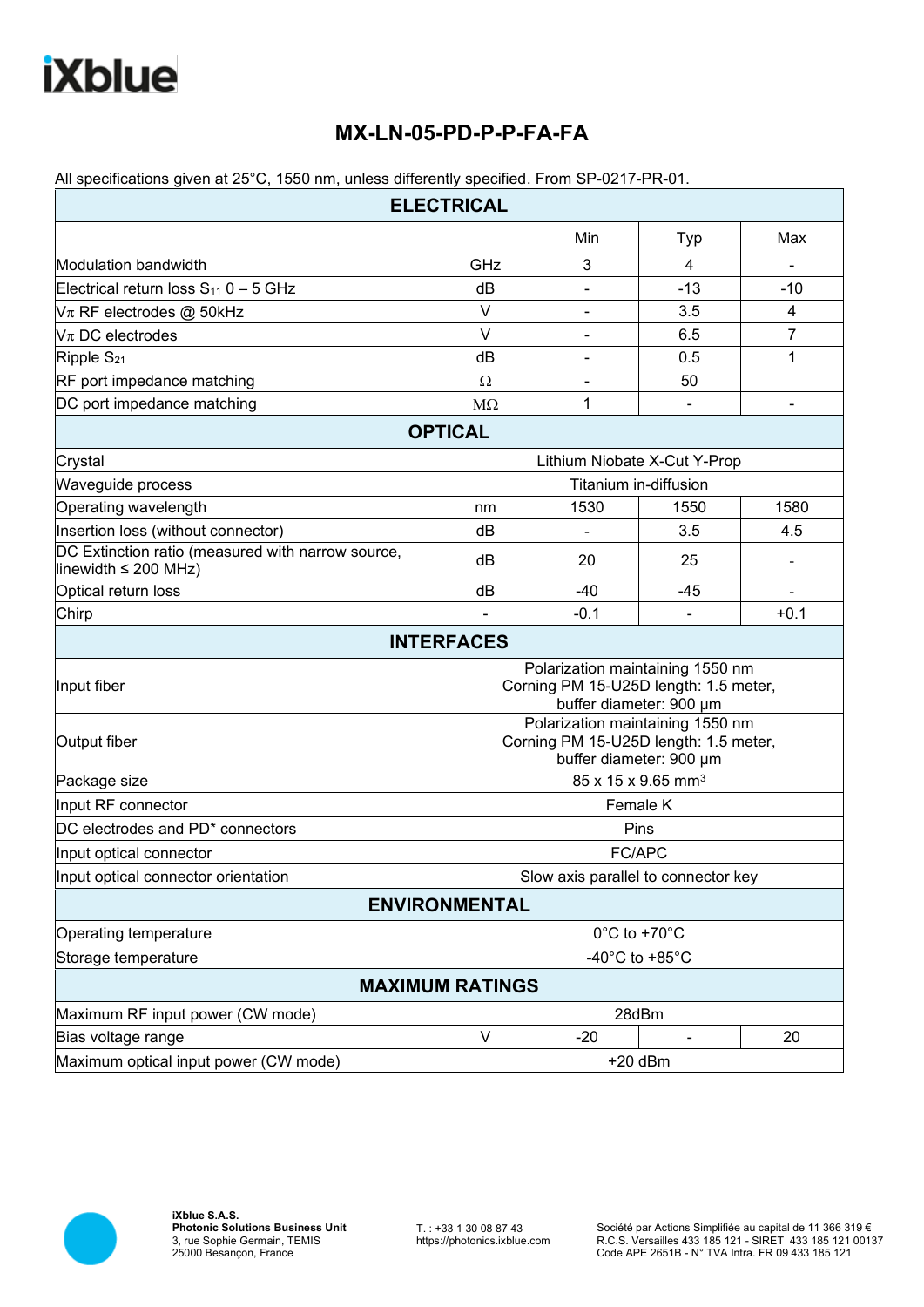## **MX-LN-05-PD-P-P-FA-FA**

|  |  |  |  | All specifications given at 25°C, 1550 nm, unless differently specified. From SP-0217-PR-01. |
|--|--|--|--|----------------------------------------------------------------------------------------------|
|--|--|--|--|----------------------------------------------------------------------------------------------|

| <b>ELECTRICAL</b>                                                              |                                                                                                      |                              |                |        |  |  |  |  |
|--------------------------------------------------------------------------------|------------------------------------------------------------------------------------------------------|------------------------------|----------------|--------|--|--|--|--|
|                                                                                |                                                                                                      | Min                          | Typ            | Max    |  |  |  |  |
| Modulation bandwidth                                                           | GHz                                                                                                  | 3                            | 4              |        |  |  |  |  |
| Electrical return loss $S_{11}$ 0 - 5 GHz                                      | dB                                                                                                   | ۰                            | $-13$          | $-10$  |  |  |  |  |
| $V_{\pi}$ RF electrodes @ 50kHz                                                | $\vee$                                                                                               |                              | 3.5            | 4      |  |  |  |  |
| $V$ $\pi$ DC electrodes                                                        | $\vee$                                                                                               |                              | 6.5            | 7      |  |  |  |  |
| Ripple S <sub>21</sub>                                                         | dB                                                                                                   |                              | 0.5            | 1      |  |  |  |  |
| RF port impedance matching                                                     | Ω                                                                                                    | ۰                            | 50             |        |  |  |  |  |
| DC port impedance matching                                                     | $M\Omega$                                                                                            | 1                            |                |        |  |  |  |  |
|                                                                                | <b>OPTICAL</b>                                                                                       |                              |                |        |  |  |  |  |
| Crystal                                                                        |                                                                                                      | Lithium Niobate X-Cut Y-Prop |                |        |  |  |  |  |
| Waveguide process                                                              | Titanium in-diffusion                                                                                |                              |                |        |  |  |  |  |
| Operating wavelength                                                           | nm                                                                                                   | 1530                         | 1550           | 1580   |  |  |  |  |
| Insertion loss (without connector)                                             | dB                                                                                                   |                              | 3.5            | 4.5    |  |  |  |  |
| DC Extinction ratio (measured with narrow source,<br>linewidth $\leq$ 200 MHz) | dB                                                                                                   | 20                           | 25             |        |  |  |  |  |
| Optical return loss                                                            | dB                                                                                                   | $-40$                        | -45            |        |  |  |  |  |
| Chirp                                                                          |                                                                                                      | $-0.1$                       | $\blacksquare$ | $+0.1$ |  |  |  |  |
|                                                                                | <b>INTERFACES</b>                                                                                    |                              |                |        |  |  |  |  |
| Input fiber                                                                    | Polarization maintaining 1550 nm<br>Corning PM 15-U25D length: 1.5 meter,<br>buffer diameter: 900 µm |                              |                |        |  |  |  |  |
| Output fiber                                                                   | Polarization maintaining 1550 nm<br>Corning PM 15-U25D length: 1.5 meter,<br>buffer diameter: 900 µm |                              |                |        |  |  |  |  |
| Package size                                                                   | 85 x 15 x 9.65 mm <sup>3</sup>                                                                       |                              |                |        |  |  |  |  |
| Input RF connector                                                             | Female K                                                                                             |                              |                |        |  |  |  |  |
| DC electrodes and PD <sup>*</sup> connectors                                   | Pins                                                                                                 |                              |                |        |  |  |  |  |
| Input optical connector                                                        | FC/APC                                                                                               |                              |                |        |  |  |  |  |
| Input optical connector orientation                                            | Slow axis parallel to connector key                                                                  |                              |                |        |  |  |  |  |
|                                                                                | <b>ENVIRONMENTAL</b>                                                                                 |                              |                |        |  |  |  |  |
| Operating temperature                                                          | 0°C to +70°C                                                                                         |                              |                |        |  |  |  |  |
| Storage temperature                                                            | -40 $^{\circ}$ C to +85 $^{\circ}$ C                                                                 |                              |                |        |  |  |  |  |
|                                                                                | <b>MAXIMUM RATINGS</b>                                                                               |                              |                |        |  |  |  |  |
| Maximum RF input power (CW mode)                                               |                                                                                                      |                              | 28dBm          |        |  |  |  |  |
| Bias voltage range                                                             | $\vee$                                                                                               | $-20$                        |                | 20     |  |  |  |  |
| Maximum optical input power (CW mode)                                          |                                                                                                      |                              | $+20$ dBm      |        |  |  |  |  |